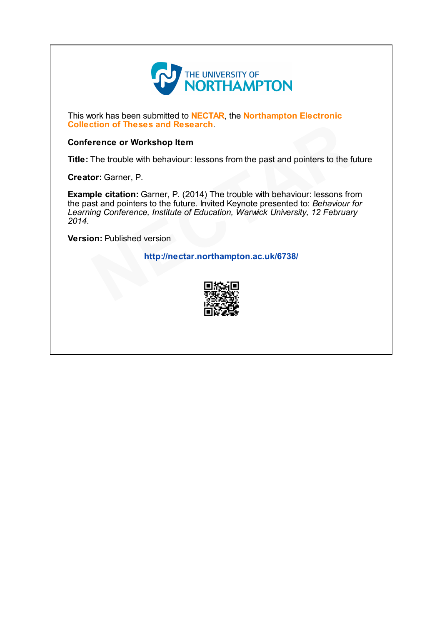

This work has been submitted to **NECTAR**, the **Northampton Electronic** Collection of Theses and Research.

## Conference or Workshop Item

Title: The trouble with behaviour: lessons from the past and pointers to the future

Creator: Garner, P.

Example citation: Garner, P. (2014) The trouble with behaviour: lessons from the past and pointers to the future. Invited Keynote presented to: Behaviour for Learning Conference, Institute of Education, Warwick University, 12 February 2014. tion of Theses and Research.<br>
The trouble with behaviour: lessons from the past and pointers to the function:<br>
The trouble with behaviour: lessons from the past and pointers to the function: Garner, P. (2014) The trouble

Version: Published version

http://nectar.northampton.ac.uk/6738/

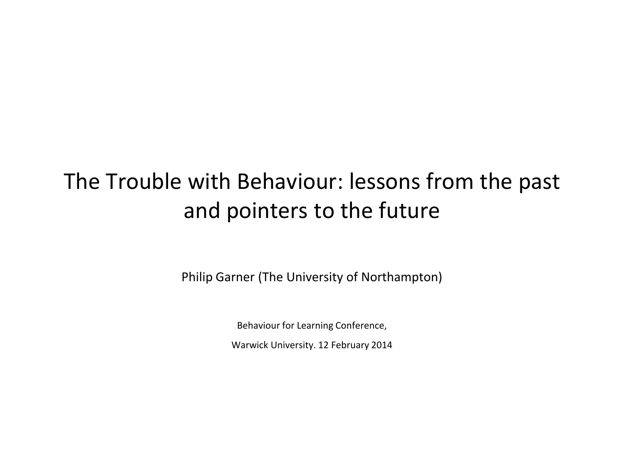## The Trouble with Behaviour: lessons from the past and pointers to the future

Philip Garner (The University of Northampton)

Behaviour for Learning Conference, Warwick University. 12 February 2014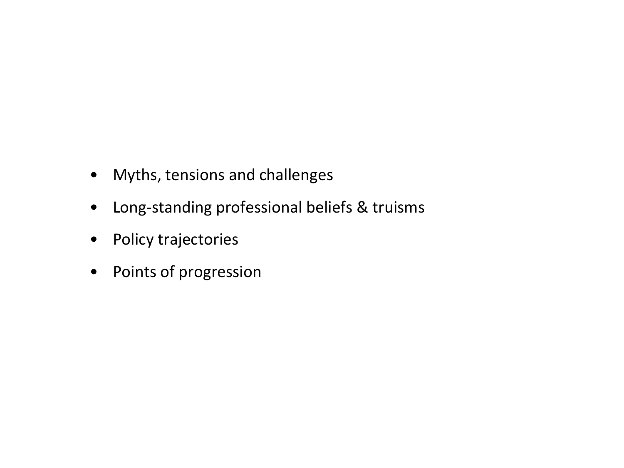- Myths, tensions and challenges
- Long-standing professional beliefs & truisms
- Policy trajectories
- Points of progression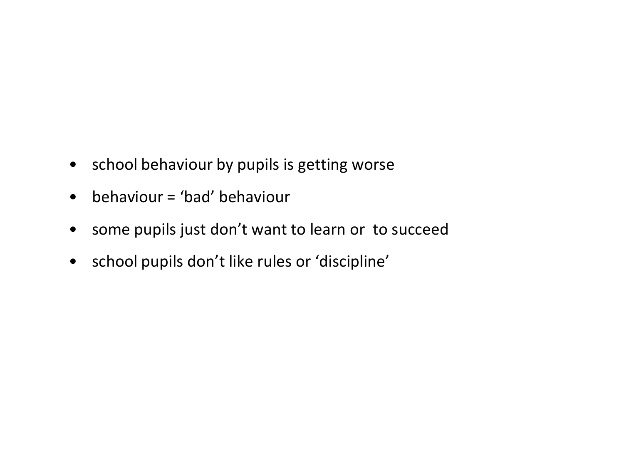- school behaviour by pupils is getting worse
- behaviour = 'bad' behaviour
- some pupils just don't want to learn or to succeed
- school pupils don't like rules or 'discipline'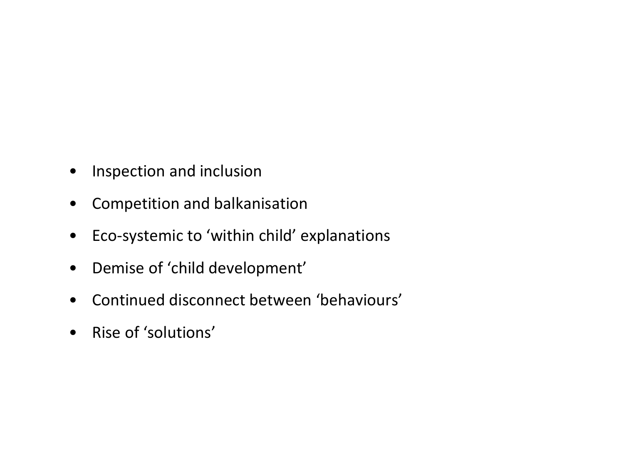- Inspection and inclusion
- Competition and balkanisation
- Eco-systemic to 'within child' explanations
- Demise of 'child development'
- Continued disconnect between 'behaviours'
- Rise of 'solutions'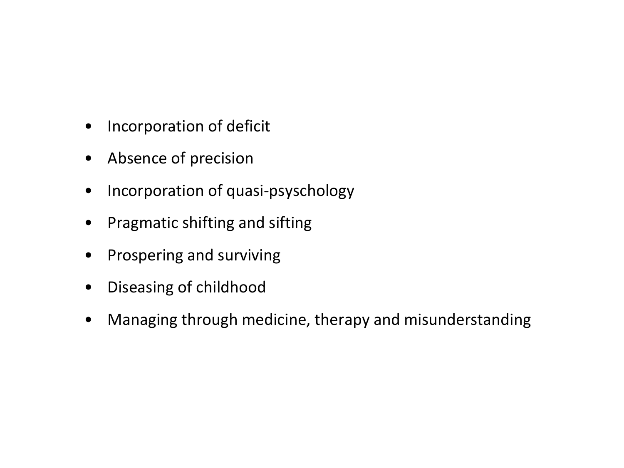- Incorporation of deficit
- Absence of precision
- Incorporation of quasi-psyschology
- Pragmatic shifting and sifting
- Prospering and surviving
- Diseasing of childhood
- Managing through medicine, therapy and misunderstanding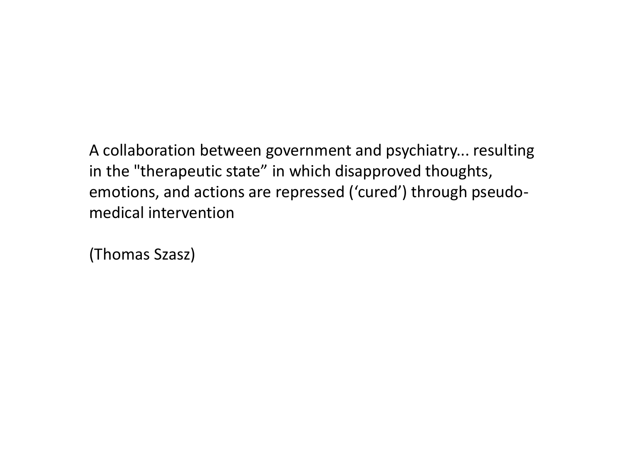A collaboration between government and psychiatry... resulting in the "therapeutic state" in which disapproved thoughts, emotions, and actions are repressed ('cured') through pseudomedical intervention

(Thomas Szasz)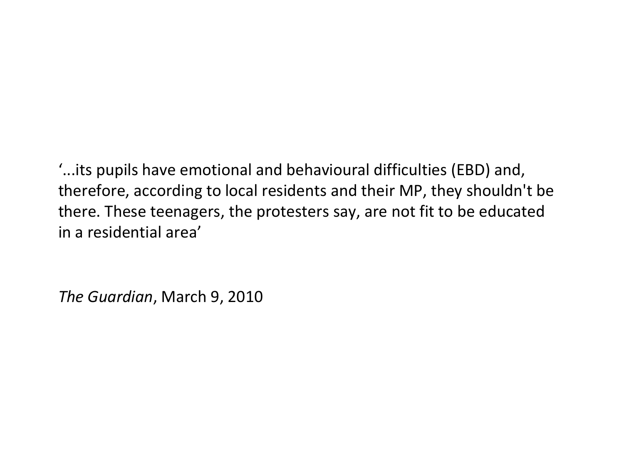'...its pupils have emotional and behavioural difficulties (EBD) and, therefore, according to local residents and their MP, they shouldn't be there. These teenagers, the protesters say, are not fit to be educated in a residential area'

*The Guardian*, March 9, 2010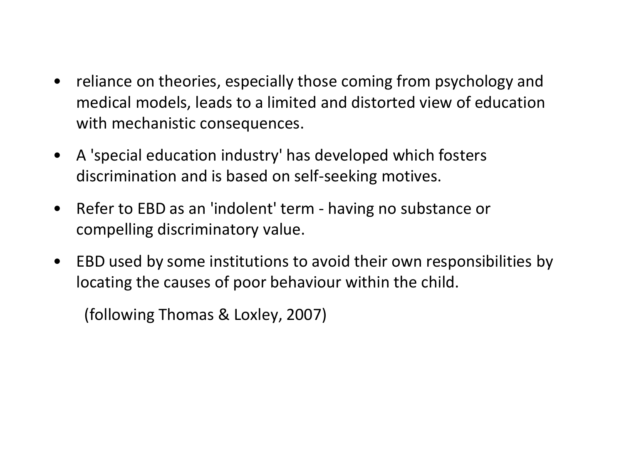- reliance on theories, especially those coming from psychology and medical models, leads to a limited and distorted view of education with mechanistic consequences.
- A 'special education industry' has developed which fosters discrimination and is based on self-seeking motives.
- Refer to EBD as an 'indolent' term having no substance or compelling discriminatory value.
- EBD used by some institutions to avoid their own responsibilities by locating the causes of poor behaviour within the child.

(following Thomas & Loxley, 2007)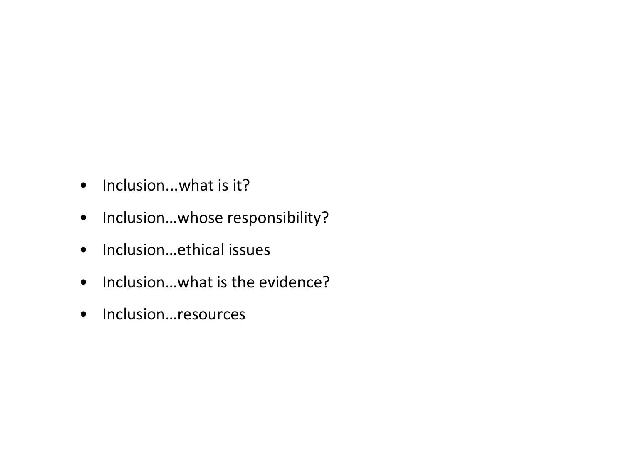- Inclusion...what is it?
- Inclusion…whose responsibility?
- Inclusion…ethical issues
- Inclusion…what is the evidence?
- Inclusion…resources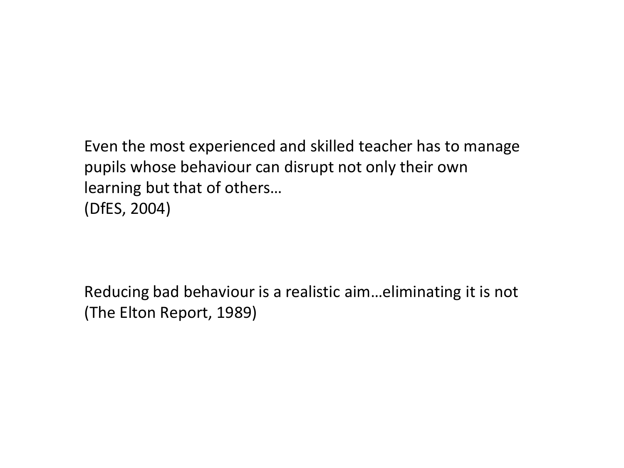Even the most experienced and skilled teacher has to manage pupils whose behaviour can disrupt not only their own learning but that of others… (DfES, 2004)

Reducing bad behaviour is a realistic aim…eliminating it is not (The Elton Report, 1989)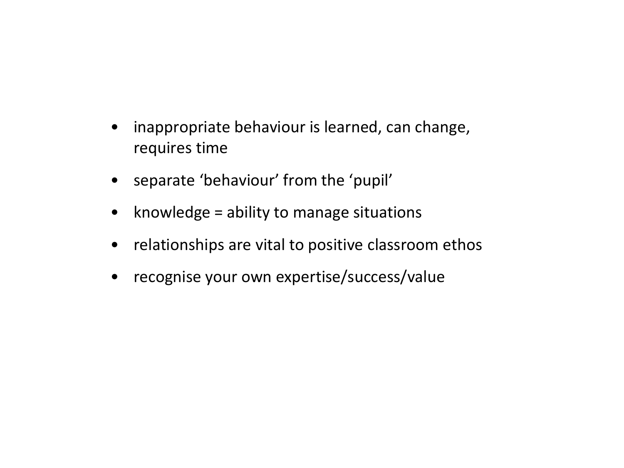- inappropriate behaviour is learned, can change, requires time
- separate 'behaviour' from the 'pupil'
- knowledge  $=$  ability to manage situations
- relationships are vital to positive classroom ethos
- recognise your own expertise/success/value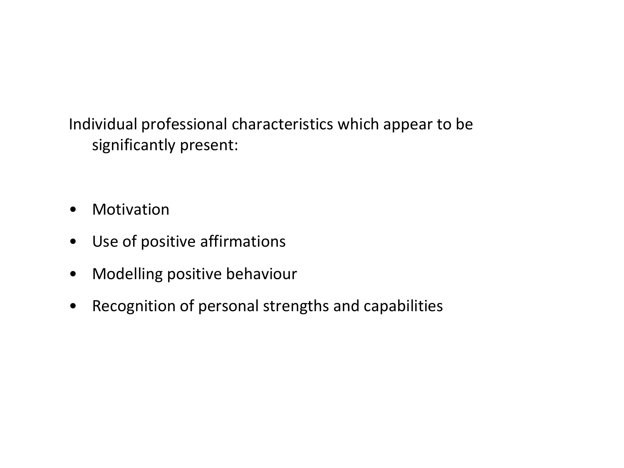Individual professional characteristics which appear to be significantly present:

- Motivation
- Use of positive affirmations
- Modelling positive behaviour
- Recognition of personal strengths and capabilities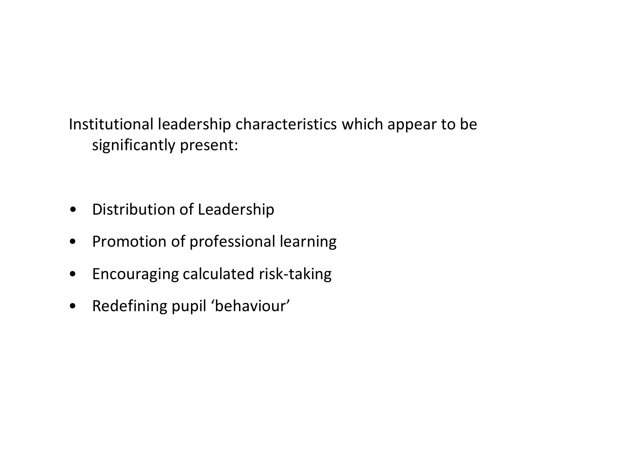Institutional leadership characteristics which appear to be significantly present:

- Distribution of Leadership
- Promotion of professional learning
- Encouraging calculated risk-taking
- Redefining pupil 'behaviour'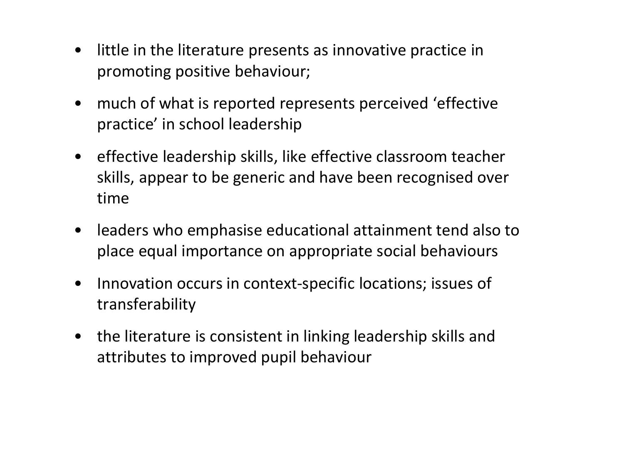- little in the literature presents as innovative practice in promoting positive behaviour;
- much of what is reported represents perceived 'effective practice' in school leadership
- effective leadership skills, like effective classroom teacher skills, appear to be generic and have been recognised over time
- leaders who emphasise educational attainment tend also to place equal importance on appropriate social behaviours
- Innovation occurs in context-specific locations; issues of transferability
- the literature is consistent in linking leadership skills and attributes to improved pupil behaviour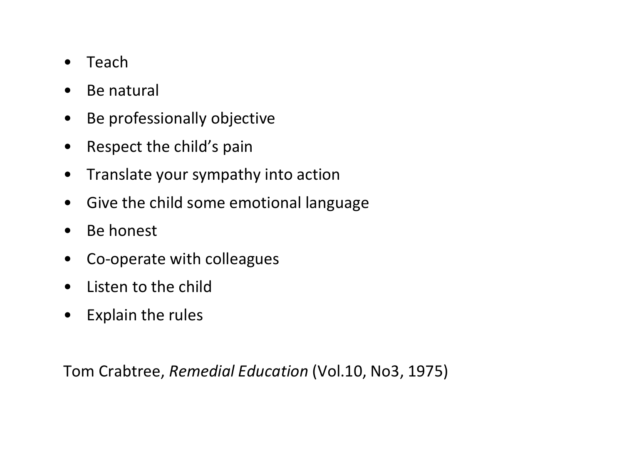- Teach
- Be natural
- Be professionally objective
- Respect the child's pain
- Translate your sympathy into action
- Give the child some emotional language
- Be honest
- Co-operate with colleagues
- Listen to the child
- Explain the rules

Tom Crabtree, *Remedial Education* (Vol.10, No3, 1975)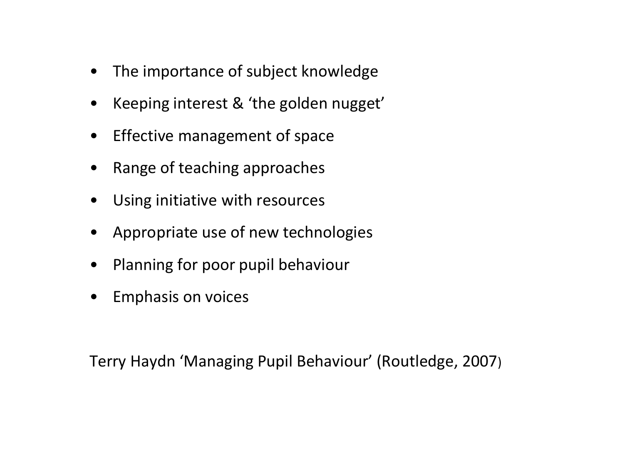- The importance of subject knowledge
- Keeping interest & 'the golden nugget'
- Effective management of space
- Range of teaching approaches
- Using initiative with resources
- Appropriate use of new technologies
- Planning for poor pupil behaviour
- Emphasis on voices

Terry Haydn 'Managing Pupil Behaviour' (Routledge, 2007)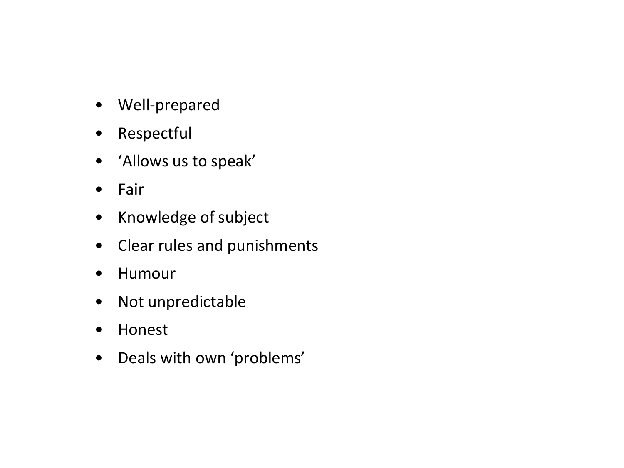- Well-prepared
- Respectful
- 'Allows us to speak'
- Fair
- Knowledge of subject
- Clear rules and punishments
- Humour
- Not unpredictable
- Honest
- Deals with own 'problems'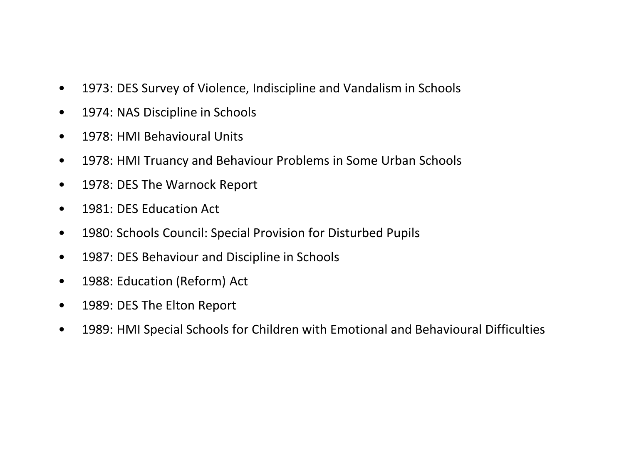- 1973: DES Survey of Violence, Indiscipline and Vandalism in Schools
- 1974: NAS Discipline in Schools
- 1978: HMI Behavioural Units
- 1978: HMI Truancy and Behaviour Problems in Some Urban Schools
- 1978: DES The Warnock Report
- 1981: DES Education Act
- 1980: Schools Council: Special Provision for Disturbed Pupils
- 1987: DES Behaviour and Discipline in Schools
- 1988: Education (Reform) Act
- 1989: DES The Elton Report
- 1989: HMI Special Schools for Children with Emotional and Behavioural Difficulties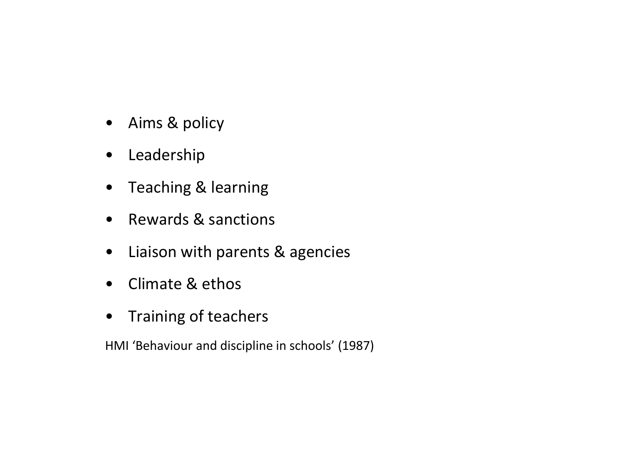- Aims & policy
- Leadership
- Teaching & learning
- Rewards & sanctions
- Liaison with parents & agencies
- Climate & ethos
- Training of teachers

HMI 'Behaviour and discipline in schools' (1987)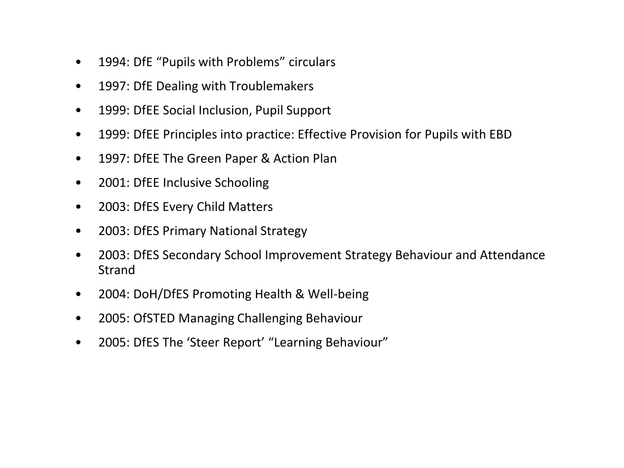- 1994: DfE "Pupils with Problems" circulars
- 1997: DfE Dealing with Troublemakers
- 1999: DfEE Social Inclusion, Pupil Support
- 1999: DfEE Principles into practice: Effective Provision for Pupils with EBD
- 1997: DfEE The Green Paper & Action Plan
- 2001: DfEE Inclusive Schooling
- 2003: DfES Every Child Matters
- 2003: DfES Primary National Strategy
- 2003: DfES Secondary School Improvement Strategy Behaviour and Attendance Strand
- 2004: DoH/DfES Promoting Health & Well-being
- 2005: OfSTED Managing Challenging Behaviour
- 2005: DfES The 'Steer Report' "Learning Behaviour"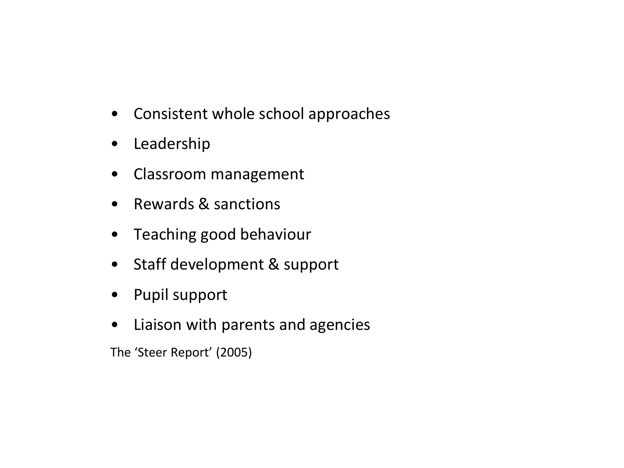- Consistent whole school approaches
- Leadership
- Classroom management
- Rewards & sanctions
- Teaching good behaviour
- Staff development & support
- Pupil support
- Liaison with parents and agencies

The 'Steer Report' (2005)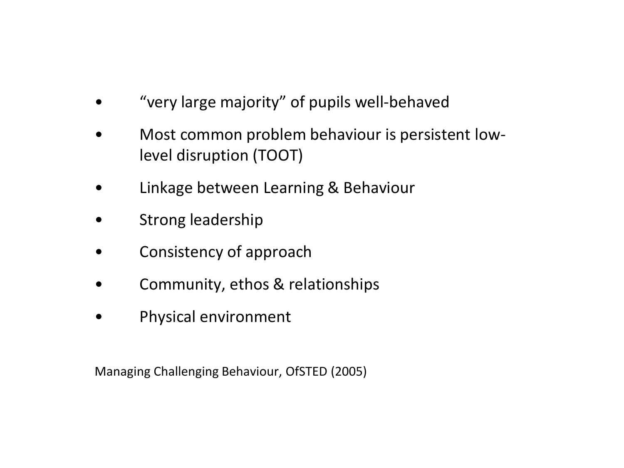- "very large majority" of pupils well-behaved
- Most common problem behaviour is persistent lowlevel disruption (TOOT)
- Linkage between Learning & Behaviour
- Strong leadership
- Consistency of approach
- Community, ethos & relationships
- Physical environment

Managing Challenging Behaviour, OfSTED (2005)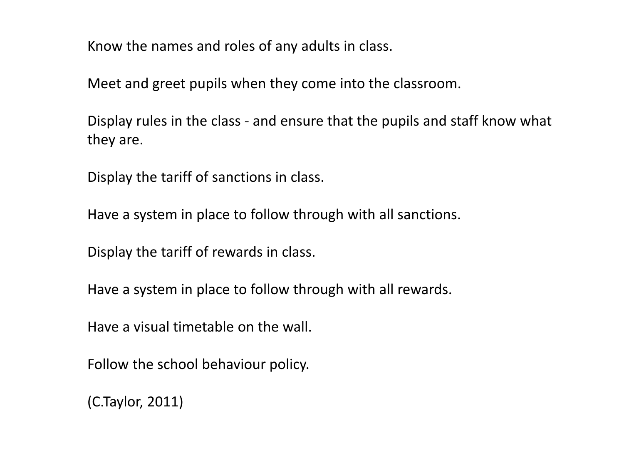Know the names and roles of any adults in class.

Meet and greet pupils when they come into the classroom.

Display rules in the class - and ensure that the pupils and staff know what they are.

Display the tariff of sanctions in class.

Have a system in place to follow through with all sanctions.

Display the tariff of rewards in class.

Have a system in place to follow through with all rewards.

Have a visual timetable on the wall.

Follow the school behaviour policy.

(C.Taylor, 2011)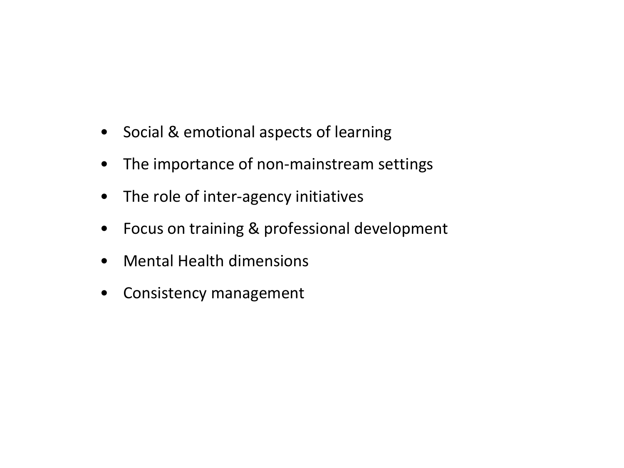- Social & emotional aspects of learning
- The importance of non-mainstream settings
- The role of inter-agency initiatives
- Focus on training & professional development
- Mental Health dimensions
- Consistency management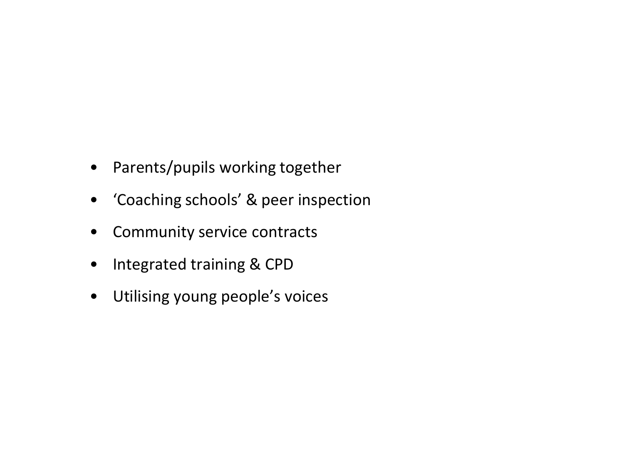- Parents/pupils working together
- 'Coaching schools' & peer inspection
- Community service contracts
- Integrated training & CPD
- Utilising young people's voices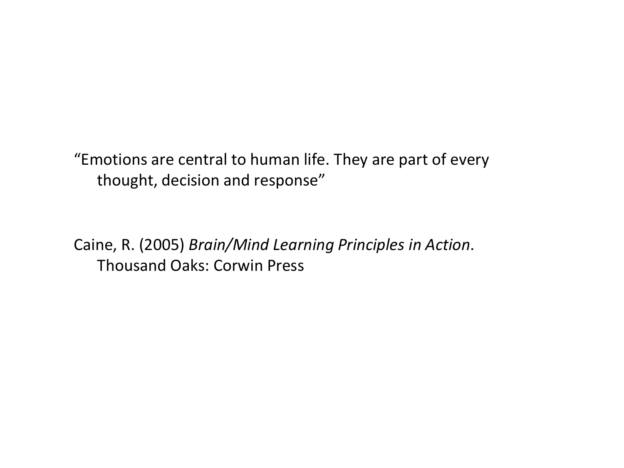"Emotions are central to human life. They are part of every thought, decision and response"

Caine, R. (2005) *Brain/Mind Learning Principles in Action*. Thousand Oaks: Corwin Press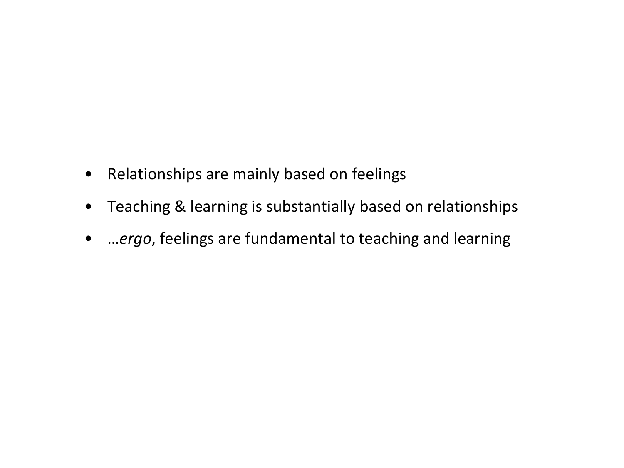- Relationships are mainly based on feelings
- Teaching & learning is substantially based on relationships
- …*ergo*, feelings are fundamental to teaching and learning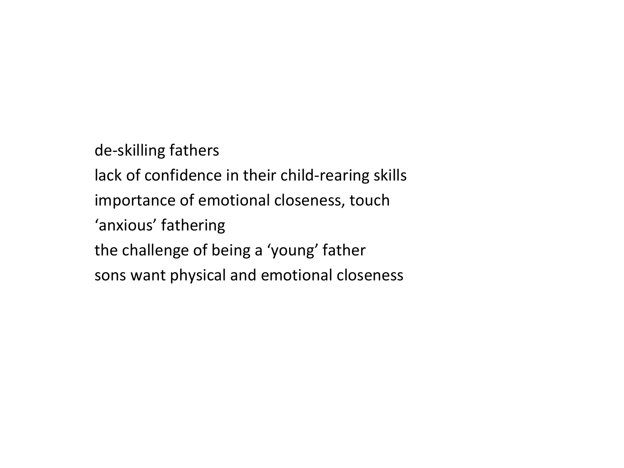de-skilling fathers lack of confidence in their child-rearing skills importance of emotional closeness, touch 'anxious' fathering the challenge of being a 'young' father sons want physical and emotional closeness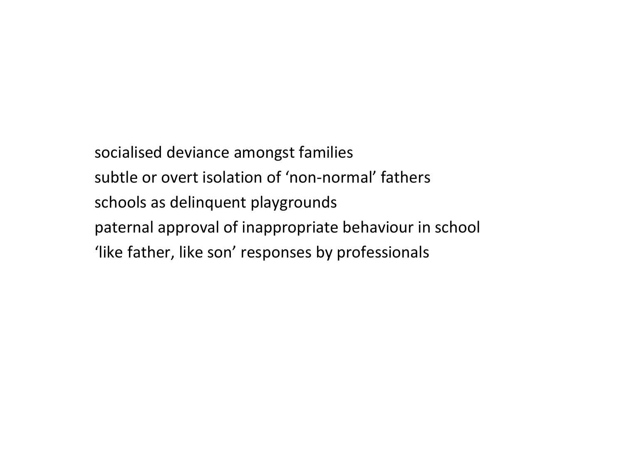socialised deviance amongst families subtle or overt isolation of 'non-normal' fathers schools as delinquent playgrounds paternal approval of inappropriate behaviour in school 'like father, like son' responses by professionals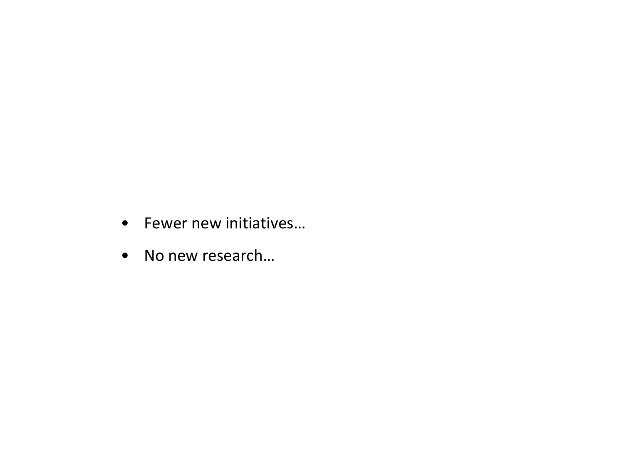- Fewer new initiatives…
- No new research…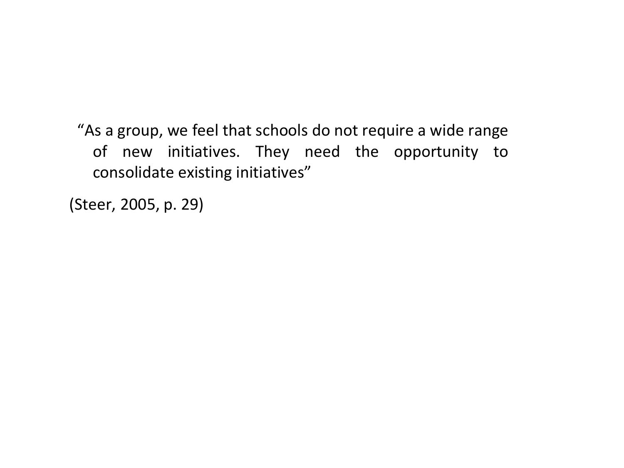"As a group, we feel that schools do not require a wide range of new initiatives. They need the opportunity to consolidate existing initiatives"

(Steer, 2005, p. 29)